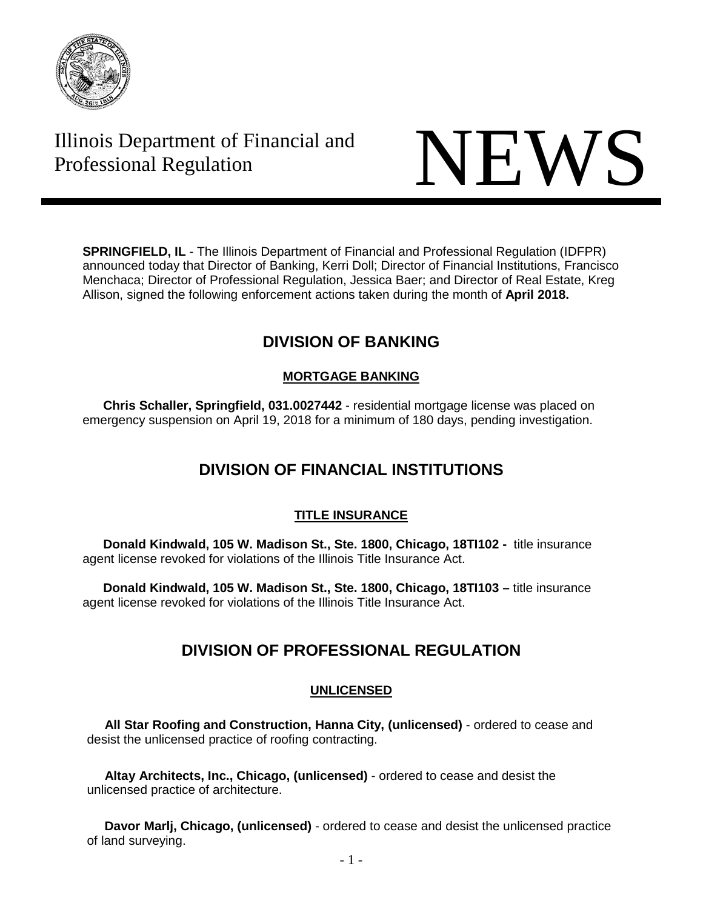

# Illinois Department of Financial and THE Professional Regulation NEWS



**SPRINGFIELD, IL** - The Illinois Department of Financial and Professional Regulation (IDFPR) announced today that Director of Banking, Kerri Doll; Director of Financial Institutions, Francisco Menchaca; Director of Professional Regulation, Jessica Baer; and Director of Real Estate, Kreg Allison, signed the following enforcement actions taken during the month of **April 2018.**

# **DIVISION OF BANKING**

### **MORTGAGE BANKING**

**Chris Schaller, Springfield, 031.0027442** - residential mortgage license was placed on emergency suspension on April 19, 2018 for a minimum of 180 days, pending investigation.

# **DIVISION OF FINANCIAL INSTITUTIONS**

### **TITLE INSURANCE**

**Donald Kindwald, 105 W. Madison St., Ste. 1800, Chicago, 18TI102 -** title insurance agent license revoked for violations of the Illinois Title Insurance Act.

**Donald Kindwald, 105 W. Madison St., Ste. 1800, Chicago, 18TI103 –** title insurance agent license revoked for violations of the Illinois Title Insurance Act.

# **DIVISION OF PROFESSIONAL REGULATION**

## **UNLICENSED**

 **All Star Roofing and Construction, Hanna City, (unlicensed)** - ordered to cease and desist the unlicensed practice of roofing contracting.

 **Altay Architects, Inc., Chicago, (unlicensed)** - ordered to cease and desist the unlicensed practice of architecture.

 **Davor Marlj, Chicago, (unlicensed)** - ordered to cease and desist the unlicensed practice of land surveying.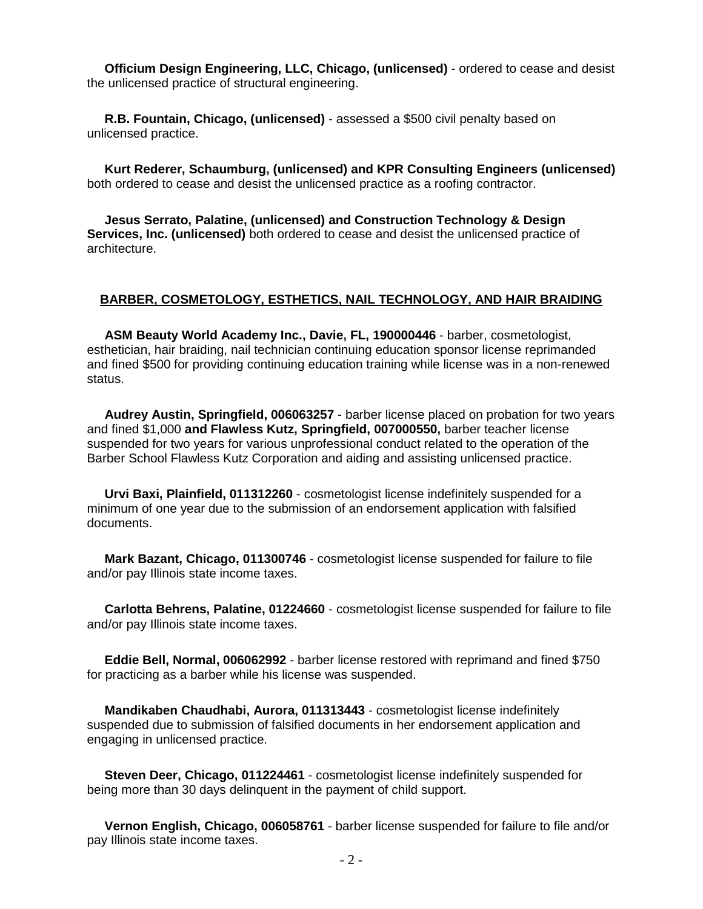**Officium Design Engineering, LLC, Chicago, (unlicensed)** - ordered to cease and desist the unlicensed practice of structural engineering.

 **R.B. Fountain, Chicago, (unlicensed)** - assessed a \$500 civil penalty based on unlicensed practice.

 **Kurt Rederer, Schaumburg, (unlicensed) and KPR Consulting Engineers (unlicensed)** both ordered to cease and desist the unlicensed practice as a roofing contractor.

 **Jesus Serrato, Palatine, (unlicensed) and Construction Technology & Design Services, Inc. (unlicensed)** both ordered to cease and desist the unlicensed practice of architecture.

#### **BARBER, COSMETOLOGY, ESTHETICS, NAIL TECHNOLOGY, AND HAIR BRAIDING**

 **ASM Beauty World Academy Inc., Davie, FL, 190000446** - barber, cosmetologist, esthetician, hair braiding, nail technician continuing education sponsor license reprimanded and fined \$500 for providing continuing education training while license was in a non-renewed status.

 **Audrey Austin, Springfield, 006063257** - barber license placed on probation for two years and fined \$1,000 **and Flawless Kutz, Springfield, 007000550,** barber teacher license suspended for two years for various unprofessional conduct related to the operation of the Barber School Flawless Kutz Corporation and aiding and assisting unlicensed practice.

 **Urvi Baxi, Plainfield, 011312260** - cosmetologist license indefinitely suspended for a minimum of one year due to the submission of an endorsement application with falsified documents.

 **Mark Bazant, Chicago, 011300746** - cosmetologist license suspended for failure to file and/or pay Illinois state income taxes.

 **Carlotta Behrens, Palatine, 01224660** - cosmetologist license suspended for failure to file and/or pay Illinois state income taxes.

 **Eddie Bell, Normal, 006062992** - barber license restored with reprimand and fined \$750 for practicing as a barber while his license was suspended.

 **Mandikaben Chaudhabi, Aurora, 011313443** - cosmetologist license indefinitely suspended due to submission of falsified documents in her endorsement application and engaging in unlicensed practice.

 **Steven Deer, Chicago, 011224461** - cosmetologist license indefinitely suspended for being more than 30 days delinquent in the payment of child support.

 **Vernon English, Chicago, 006058761** - barber license suspended for failure to file and/or pay Illinois state income taxes.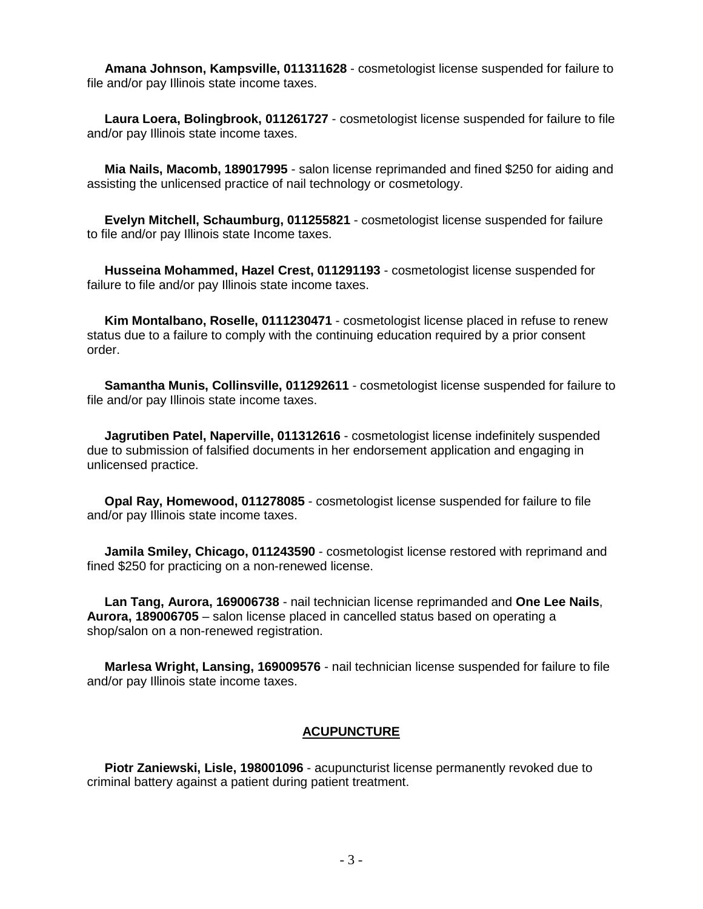**Amana Johnson, Kampsville, 011311628** - cosmetologist license suspended for failure to file and/or pay Illinois state income taxes.

 **Laura Loera, Bolingbrook, 011261727** - cosmetologist license suspended for failure to file and/or pay Illinois state income taxes.

 **Mia Nails, Macomb, 189017995** - salon license reprimanded and fined \$250 for aiding and assisting the unlicensed practice of nail technology or cosmetology.

 **Evelyn Mitchell, Schaumburg, 011255821** - cosmetologist license suspended for failure to file and/or pay Illinois state Income taxes.

 **Husseina Mohammed, Hazel Crest, 011291193** - cosmetologist license suspended for failure to file and/or pay Illinois state income taxes.

 **Kim Montalbano, Roselle, 0111230471** - cosmetologist license placed in refuse to renew status due to a failure to comply with the continuing education required by a prior consent order.

 **Samantha Munis, Collinsville, 011292611** - cosmetologist license suspended for failure to file and/or pay Illinois state income taxes.

 **Jagrutiben Patel, Naperville, 011312616** - cosmetologist license indefinitely suspended due to submission of falsified documents in her endorsement application and engaging in unlicensed practice.

 **Opal Ray, Homewood, 011278085** - cosmetologist license suspended for failure to file and/or pay Illinois state income taxes.

 **Jamila Smiley, Chicago, 011243590** - cosmetologist license restored with reprimand and fined \$250 for practicing on a non-renewed license.

 **Lan Tang, Aurora, 169006738** - nail technician license reprimanded and **One Lee Nails**, **Aurora, 189006705** – salon license placed in cancelled status based on operating a shop/salon on a non-renewed registration.

 **Marlesa Wright, Lansing, 169009576** - nail technician license suspended for failure to file and/or pay Illinois state income taxes.

#### **ACUPUNCTURE**

 **Piotr Zaniewski, Lisle, 198001096** - acupuncturist license permanently revoked due to criminal battery against a patient during patient treatment.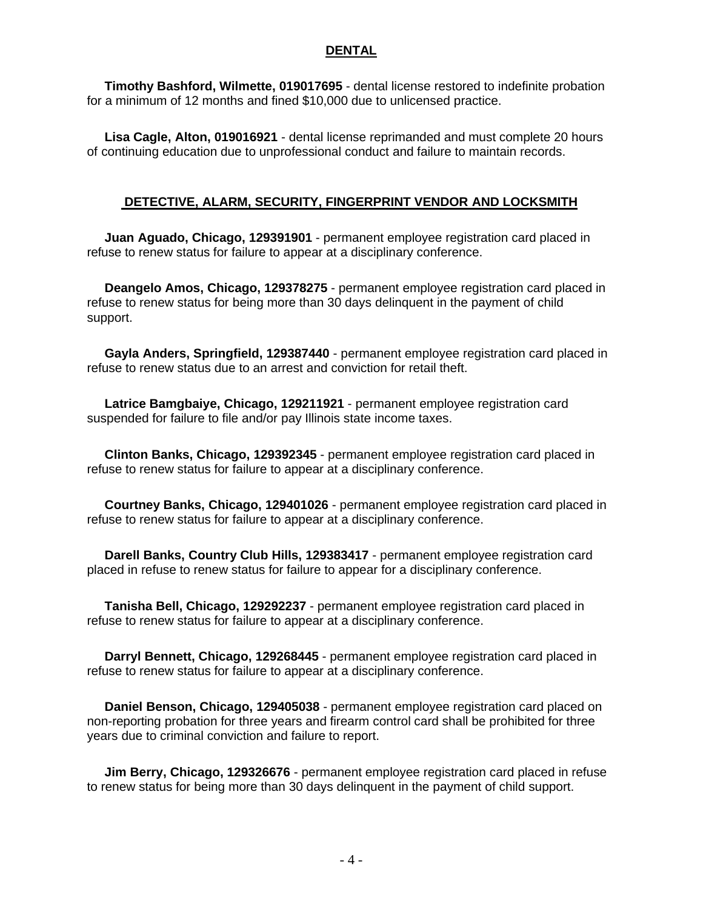#### **DENTAL**

**Timothy Bashford, Wilmette, 019017695** - dental license restored to indefinite probation for a minimum of 12 months and fined \$10,000 due to unlicensed practice.

**Lisa Cagle, Alton, 019016921** - dental license reprimanded and must complete 20 hours of continuing education due to unprofessional conduct and failure to maintain records.

#### **DETECTIVE, ALARM, SECURITY, FINGERPRINT VENDOR AND LOCKSMITH**

**Juan Aguado, Chicago, 129391901** - permanent employee registration card placed in refuse to renew status for failure to appear at a disciplinary conference.

**Deangelo Amos, Chicago, 129378275** - permanent employee registration card placed in refuse to renew status for being more than 30 days delinquent in the payment of child support.

**Gayla Anders, Springfield, 129387440** - permanent employee registration card placed in refuse to renew status due to an arrest and conviction for retail theft.

**Latrice Bamgbaiye, Chicago, 129211921** - permanent employee registration card suspended for failure to file and/or pay Illinois state income taxes.

**Clinton Banks, Chicago, 129392345** - permanent employee registration card placed in refuse to renew status for failure to appear at a disciplinary conference.

**Courtney Banks, Chicago, 129401026** - permanent employee registration card placed in refuse to renew status for failure to appear at a disciplinary conference.

**Darell Banks, Country Club Hills, 129383417** - permanent employee registration card placed in refuse to renew status for failure to appear for a disciplinary conference.

**Tanisha Bell, Chicago, 129292237** - permanent employee registration card placed in refuse to renew status for failure to appear at a disciplinary conference.

**Darryl Bennett, Chicago, 129268445** - permanent employee registration card placed in refuse to renew status for failure to appear at a disciplinary conference.

**Daniel Benson, Chicago, 129405038** - permanent employee registration card placed on non-reporting probation for three years and firearm control card shall be prohibited for three years due to criminal conviction and failure to report.

**Jim Berry, Chicago, 129326676** - permanent employee registration card placed in refuse to renew status for being more than 30 days delinquent in the payment of child support.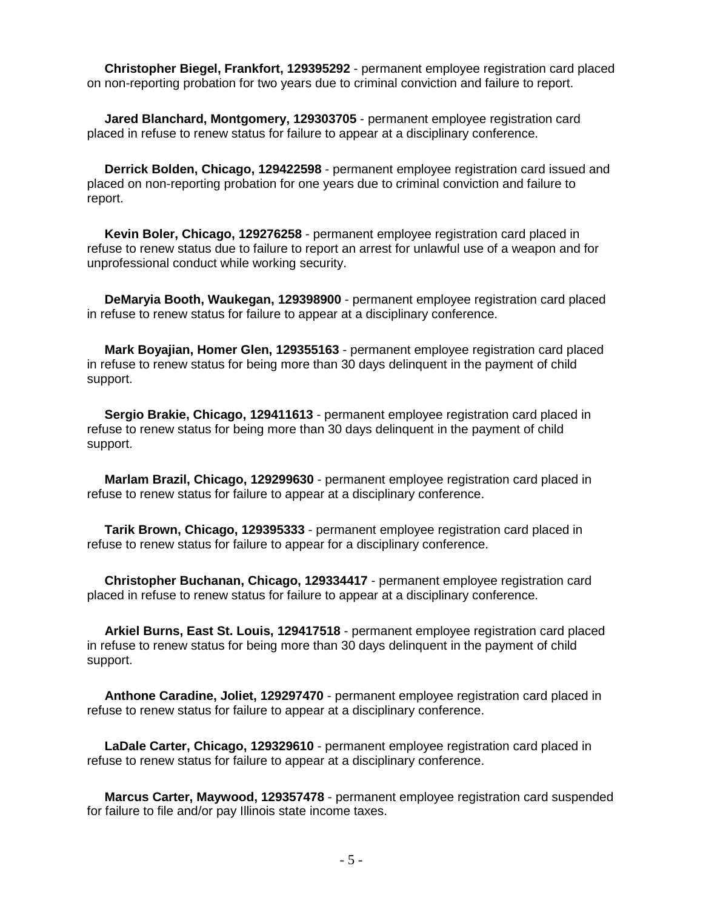**Christopher Biegel, Frankfort, 129395292** - permanent employee registration card placed on non-reporting probation for two years due to criminal conviction and failure to report.

 **Jared Blanchard, Montgomery, 129303705** - permanent employee registration card placed in refuse to renew status for failure to appear at a disciplinary conference.

 **Derrick Bolden, Chicago, 129422598** - permanent employee registration card issued and placed on non-reporting probation for one years due to criminal conviction and failure to report.

 **Kevin Boler, Chicago, 129276258** - permanent employee registration card placed in refuse to renew status due to failure to report an arrest for unlawful use of a weapon and for unprofessional conduct while working security.

 **DeMaryia Booth, Waukegan, 129398900** - permanent employee registration card placed in refuse to renew status for failure to appear at a disciplinary conference.

 **Mark Boyajian, Homer Glen, 129355163** - permanent employee registration card placed in refuse to renew status for being more than 30 days delinquent in the payment of child support.

 **Sergio Brakie, Chicago, 129411613** - permanent employee registration card placed in refuse to renew status for being more than 30 days delinquent in the payment of child support.

 **Marlam Brazil, Chicago, 129299630** - permanent employee registration card placed in refuse to renew status for failure to appear at a disciplinary conference.

 **Tarik Brown, Chicago, 129395333** - permanent employee registration card placed in refuse to renew status for failure to appear for a disciplinary conference.

 **Christopher Buchanan, Chicago, 129334417** - permanent employee registration card placed in refuse to renew status for failure to appear at a disciplinary conference.

 **Arkiel Burns, East St. Louis, 129417518** - permanent employee registration card placed in refuse to renew status for being more than 30 days delinquent in the payment of child support.

 **Anthone Caradine, Joliet, 129297470** - permanent employee registration card placed in refuse to renew status for failure to appear at a disciplinary conference.

 **LaDale Carter, Chicago, 129329610** - permanent employee registration card placed in refuse to renew status for failure to appear at a disciplinary conference.

 **Marcus Carter, Maywood, 129357478** - permanent employee registration card suspended for failure to file and/or pay Illinois state income taxes.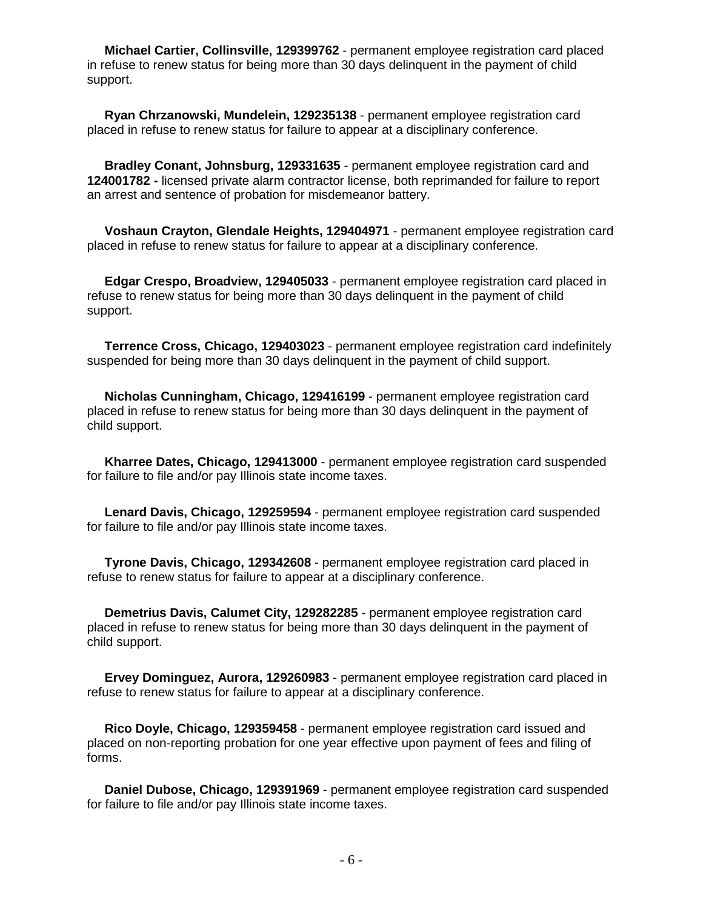**Michael Cartier, Collinsville, 129399762** - permanent employee registration card placed in refuse to renew status for being more than 30 days delinquent in the payment of child support.

 **Ryan Chrzanowski, Mundelein, 129235138** - permanent employee registration card placed in refuse to renew status for failure to appear at a disciplinary conference.

 **Bradley Conant, Johnsburg, 129331635** - permanent employee registration card and **124001782 -** licensed private alarm contractor license, both reprimanded for failure to report an arrest and sentence of probation for misdemeanor battery.

 **Voshaun Crayton, Glendale Heights, 129404971** - permanent employee registration card placed in refuse to renew status for failure to appear at a disciplinary conference.

 **Edgar Crespo, Broadview, 129405033** - permanent employee registration card placed in refuse to renew status for being more than 30 days delinquent in the payment of child support.

 **Terrence Cross, Chicago, 129403023** - permanent employee registration card indefinitely suspended for being more than 30 days delinquent in the payment of child support.

 **Nicholas Cunningham, Chicago, 129416199** - permanent employee registration card placed in refuse to renew status for being more than 30 days delinquent in the payment of child support.

 **Kharree Dates, Chicago, 129413000** - permanent employee registration card suspended for failure to file and/or pay Illinois state income taxes.

 **Lenard Davis, Chicago, 129259594** - permanent employee registration card suspended for failure to file and/or pay Illinois state income taxes.

 **Tyrone Davis, Chicago, 129342608** - permanent employee registration card placed in refuse to renew status for failure to appear at a disciplinary conference.

 **Demetrius Davis, Calumet City, 129282285** - permanent employee registration card placed in refuse to renew status for being more than 30 days delinquent in the payment of child support.

 **Ervey Dominguez, Aurora, 129260983** - permanent employee registration card placed in refuse to renew status for failure to appear at a disciplinary conference.

 **Rico Doyle, Chicago, 129359458** - permanent employee registration card issued and placed on non-reporting probation for one year effective upon payment of fees and filing of forms.

 **Daniel Dubose, Chicago, 129391969** - permanent employee registration card suspended for failure to file and/or pay Illinois state income taxes.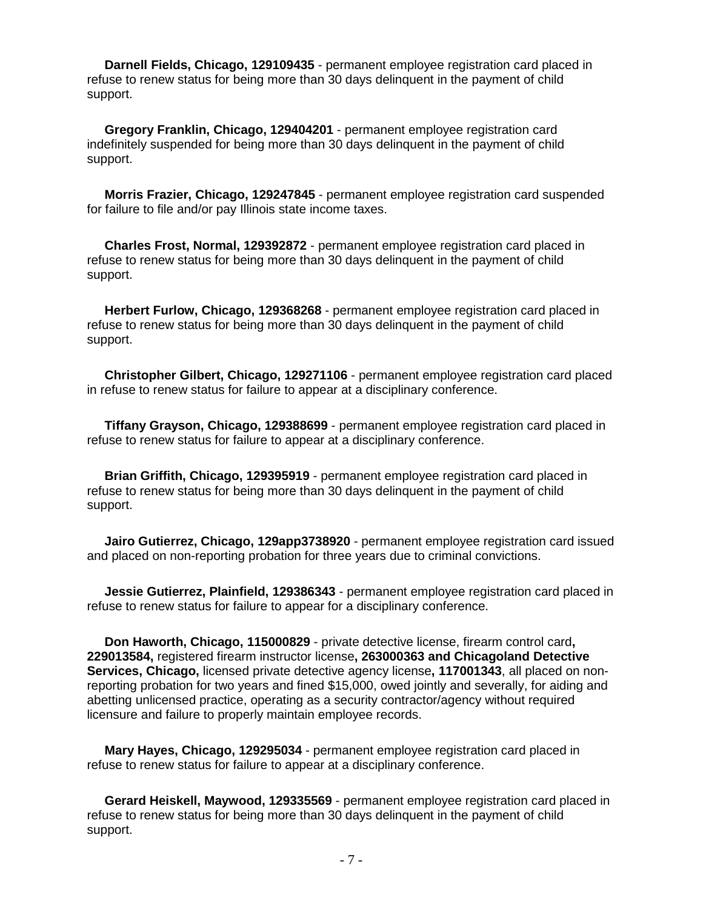**Darnell Fields, Chicago, 129109435** - permanent employee registration card placed in refuse to renew status for being more than 30 days delinquent in the payment of child support.

 **Gregory Franklin, Chicago, 129404201** - permanent employee registration card indefinitely suspended for being more than 30 days delinquent in the payment of child support.

 **Morris Frazier, Chicago, 129247845** - permanent employee registration card suspended for failure to file and/or pay Illinois state income taxes.

 **Charles Frost, Normal, 129392872** - permanent employee registration card placed in refuse to renew status for being more than 30 days delinquent in the payment of child support.

 **Herbert Furlow, Chicago, 129368268** - permanent employee registration card placed in refuse to renew status for being more than 30 days delinquent in the payment of child support.

 **Christopher Gilbert, Chicago, 129271106** - permanent employee registration card placed in refuse to renew status for failure to appear at a disciplinary conference.

 **Tiffany Grayson, Chicago, 129388699** - permanent employee registration card placed in refuse to renew status for failure to appear at a disciplinary conference.

 **Brian Griffith, Chicago, 129395919** - permanent employee registration card placed in refuse to renew status for being more than 30 days delinquent in the payment of child support.

**Jairo Gutierrez, Chicago, 129app3738920** - permanent employee registration card issued and placed on non-reporting probation for three years due to criminal convictions.

 **Jessie Gutierrez, Plainfield, 129386343** - permanent employee registration card placed in refuse to renew status for failure to appear for a disciplinary conference.

 **Don Haworth, Chicago, 115000829** - private detective license, firearm control card**, 229013584,** registered firearm instructor license**, 263000363 and Chicagoland Detective Services, Chicago,** licensed private detective agency license**, 117001343**, all placed on nonreporting probation for two years and fined \$15,000, owed jointly and severally, for aiding and abetting unlicensed practice, operating as a security contractor/agency without required licensure and failure to properly maintain employee records.

 **Mary Hayes, Chicago, 129295034** - permanent employee registration card placed in refuse to renew status for failure to appear at a disciplinary conference.

 **Gerard Heiskell, Maywood, 129335569** - permanent employee registration card placed in refuse to renew status for being more than 30 days delinquent in the payment of child support.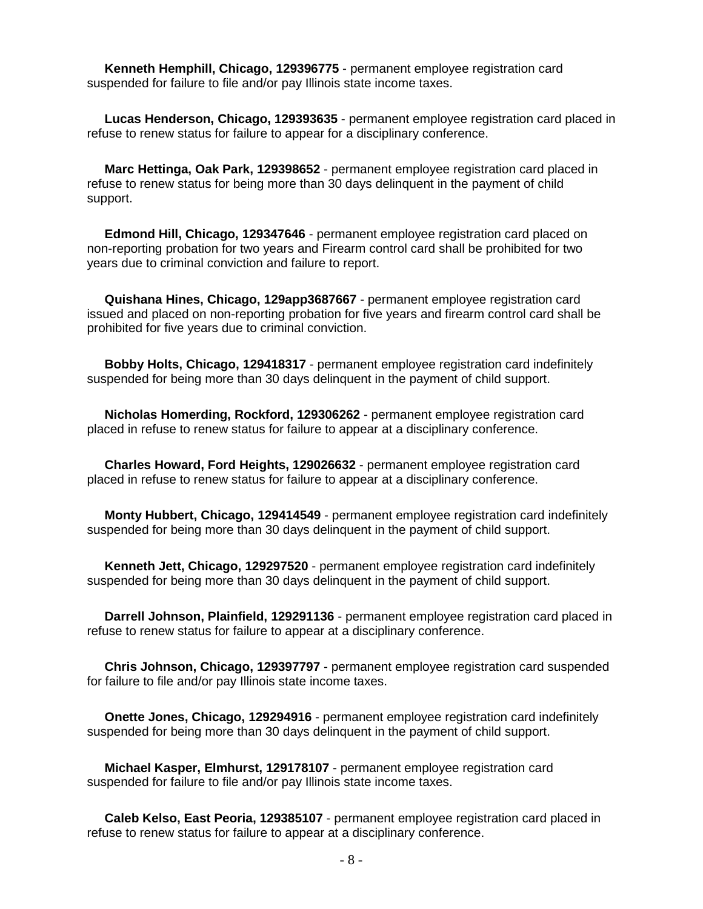**Kenneth Hemphill, Chicago, 129396775** - permanent employee registration card suspended for failure to file and/or pay Illinois state income taxes.

 **Lucas Henderson, Chicago, 129393635** - permanent employee registration card placed in refuse to renew status for failure to appear for a disciplinary conference.

 **Marc Hettinga, Oak Park, 129398652** - permanent employee registration card placed in refuse to renew status for being more than 30 days delinquent in the payment of child support.

 **Edmond Hill, Chicago, 129347646** - permanent employee registration card placed on non-reporting probation for two years and Firearm control card shall be prohibited for two years due to criminal conviction and failure to report.

 **Quishana Hines, Chicago, 129app3687667** - permanent employee registration card issued and placed on non-reporting probation for five years and firearm control card shall be prohibited for five years due to criminal conviction.

 **Bobby Holts, Chicago, 129418317** - permanent employee registration card indefinitely suspended for being more than 30 days delinquent in the payment of child support.

 **Nicholas Homerding, Rockford, 129306262** - permanent employee registration card placed in refuse to renew status for failure to appear at a disciplinary conference.

 **Charles Howard, Ford Heights, 129026632** - permanent employee registration card placed in refuse to renew status for failure to appear at a disciplinary conference.

 **Monty Hubbert, Chicago, 129414549** - permanent employee registration card indefinitely suspended for being more than 30 days delinquent in the payment of child support.

 **Kenneth Jett, Chicago, 129297520** - permanent employee registration card indefinitely suspended for being more than 30 days delinquent in the payment of child support.

 **Darrell Johnson, Plainfield, 129291136** - permanent employee registration card placed in refuse to renew status for failure to appear at a disciplinary conference.

 **Chris Johnson, Chicago, 129397797** - permanent employee registration card suspended for failure to file and/or pay Illinois state income taxes.

 **Onette Jones, Chicago, 129294916** - permanent employee registration card indefinitely suspended for being more than 30 days delinquent in the payment of child support.

 **Michael Kasper, Elmhurst, 129178107** - permanent employee registration card suspended for failure to file and/or pay Illinois state income taxes.

 **Caleb Kelso, East Peoria, 129385107** - permanent employee registration card placed in refuse to renew status for failure to appear at a disciplinary conference.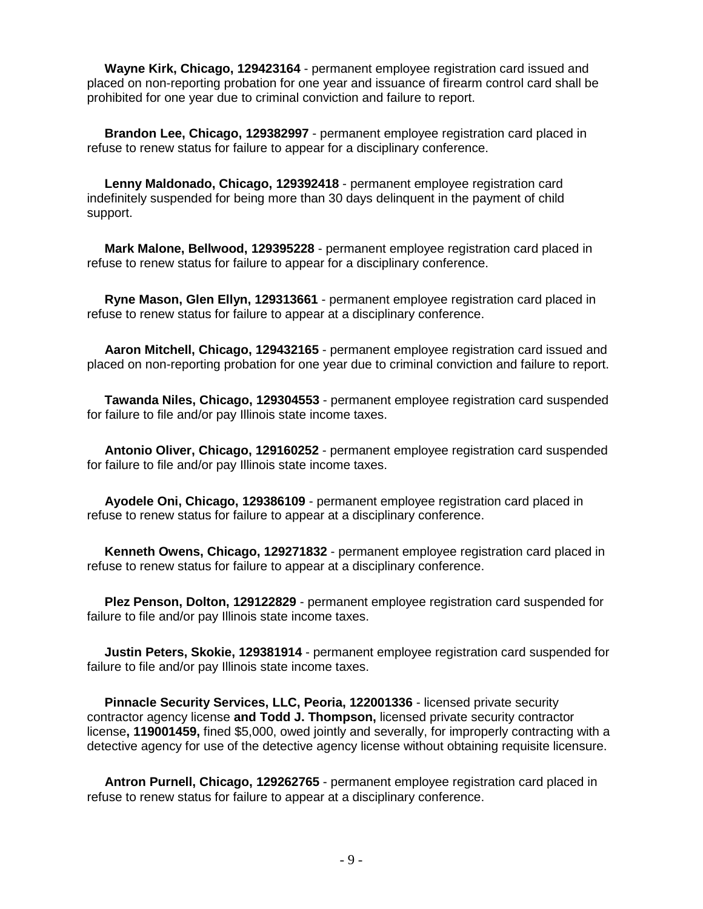**Wayne Kirk, Chicago, 129423164** - permanent employee registration card issued and placed on non-reporting probation for one year and issuance of firearm control card shall be prohibited for one year due to criminal conviction and failure to report.

 **Brandon Lee, Chicago, 129382997** - permanent employee registration card placed in refuse to renew status for failure to appear for a disciplinary conference.

 **Lenny Maldonado, Chicago, 129392418** - permanent employee registration card indefinitely suspended for being more than 30 days delinquent in the payment of child support.

 **Mark Malone, Bellwood, 129395228** - permanent employee registration card placed in refuse to renew status for failure to appear for a disciplinary conference.

 **Ryne Mason, Glen Ellyn, 129313661** - permanent employee registration card placed in refuse to renew status for failure to appear at a disciplinary conference.

 **Aaron Mitchell, Chicago, 129432165** - permanent employee registration card issued and placed on non-reporting probation for one year due to criminal conviction and failure to report.

 **Tawanda Niles, Chicago, 129304553** - permanent employee registration card suspended for failure to file and/or pay Illinois state income taxes.

 **Antonio Oliver, Chicago, 129160252** - permanent employee registration card suspended for failure to file and/or pay Illinois state income taxes.

 **Ayodele Oni, Chicago, 129386109** - permanent employee registration card placed in refuse to renew status for failure to appear at a disciplinary conference.

 **Kenneth Owens, Chicago, 129271832** - permanent employee registration card placed in refuse to renew status for failure to appear at a disciplinary conference.

 **Plez Penson, Dolton, 129122829** - permanent employee registration card suspended for failure to file and/or pay Illinois state income taxes.

 **Justin Peters, Skokie, 129381914** - permanent employee registration card suspended for failure to file and/or pay Illinois state income taxes.

 **Pinnacle Security Services, LLC, Peoria, 122001336** - licensed private security contractor agency license **and Todd J. Thompson,** licensed private security contractor license**, 119001459,** fined \$5,000, owed jointly and severally, for improperly contracting with a detective agency for use of the detective agency license without obtaining requisite licensure.

 **Antron Purnell, Chicago, 129262765** - permanent employee registration card placed in refuse to renew status for failure to appear at a disciplinary conference.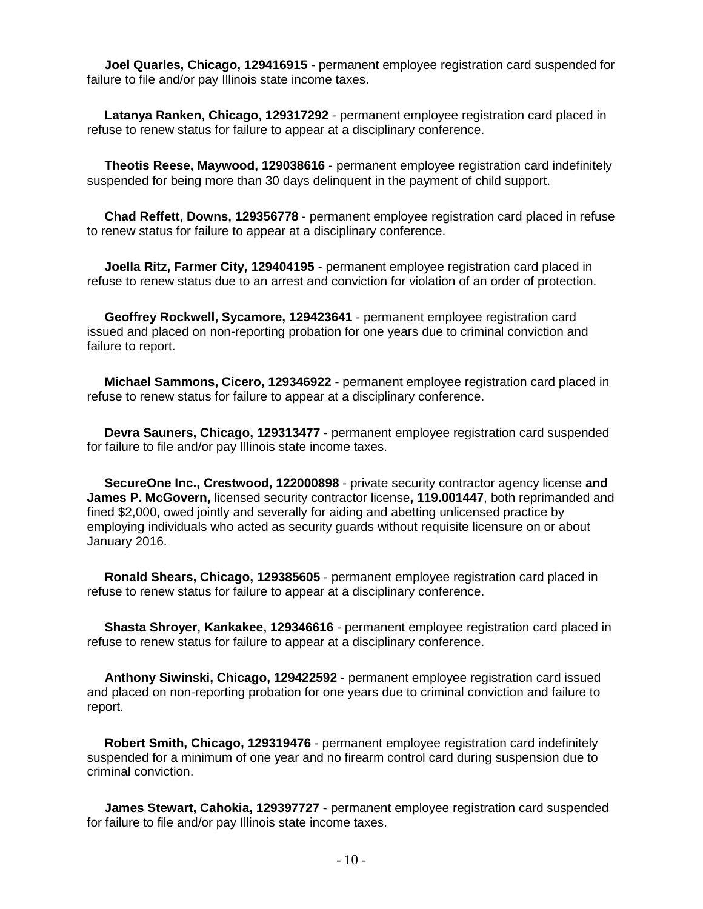**Joel Quarles, Chicago, 129416915** - permanent employee registration card suspended for failure to file and/or pay Illinois state income taxes.

 **Latanya Ranken, Chicago, 129317292** - permanent employee registration card placed in refuse to renew status for failure to appear at a disciplinary conference.

 **Theotis Reese, Maywood, 129038616** - permanent employee registration card indefinitely suspended for being more than 30 days delinquent in the payment of child support.

 **Chad Reffett, Downs, 129356778** - permanent employee registration card placed in refuse to renew status for failure to appear at a disciplinary conference.

 **Joella Ritz, Farmer City, 129404195** - permanent employee registration card placed in refuse to renew status due to an arrest and conviction for violation of an order of protection.

 **Geoffrey Rockwell, Sycamore, 129423641** - permanent employee registration card issued and placed on non-reporting probation for one years due to criminal conviction and failure to report.

 **Michael Sammons, Cicero, 129346922** - permanent employee registration card placed in refuse to renew status for failure to appear at a disciplinary conference.

 **Devra Sauners, Chicago, 129313477** - permanent employee registration card suspended for failure to file and/or pay Illinois state income taxes.

 **SecureOne Inc., Crestwood, 122000898** - private security contractor agency license **and James P. McGovern,** licensed security contractor license**, 119.001447**, both reprimanded and fined \$2,000, owed jointly and severally for aiding and abetting unlicensed practice by employing individuals who acted as security guards without requisite licensure on or about January 2016.

 **Ronald Shears, Chicago, 129385605** - permanent employee registration card placed in refuse to renew status for failure to appear at a disciplinary conference.

 **Shasta Shroyer, Kankakee, 129346616** - permanent employee registration card placed in refuse to renew status for failure to appear at a disciplinary conference.

 **Anthony Siwinski, Chicago, 129422592** - permanent employee registration card issued and placed on non-reporting probation for one years due to criminal conviction and failure to report.

 **Robert Smith, Chicago, 129319476** - permanent employee registration card indefinitely suspended for a minimum of one year and no firearm control card during suspension due to criminal conviction.

 **James Stewart, Cahokia, 129397727** - permanent employee registration card suspended for failure to file and/or pay Illinois state income taxes.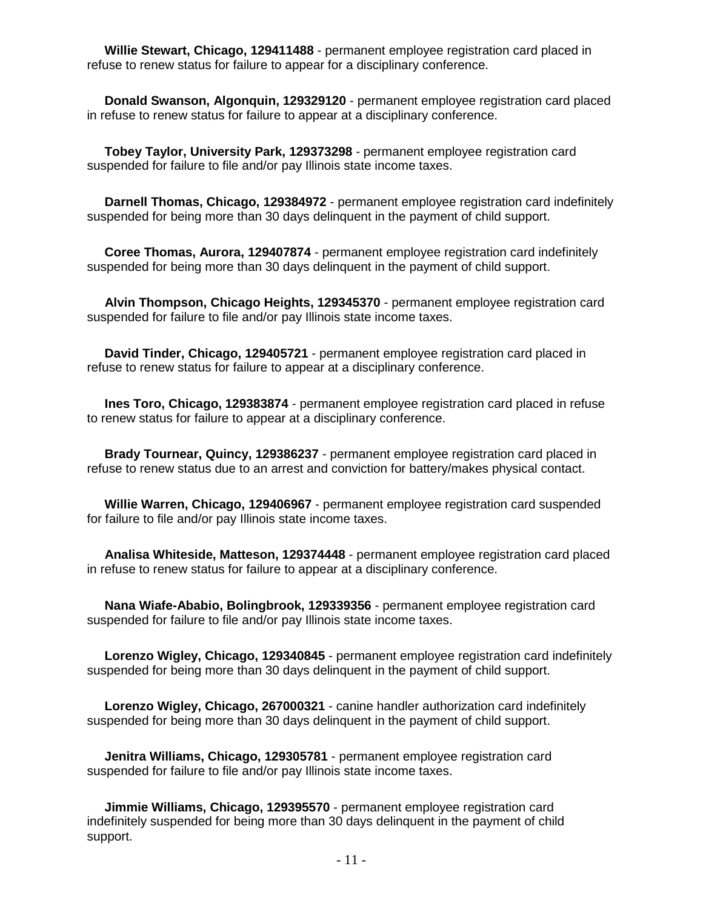**Willie Stewart, Chicago, 129411488** - permanent employee registration card placed in refuse to renew status for failure to appear for a disciplinary conference.

 **Donald Swanson, Algonquin, 129329120** - permanent employee registration card placed in refuse to renew status for failure to appear at a disciplinary conference.

 **Tobey Taylor, University Park, 129373298** - permanent employee registration card suspended for failure to file and/or pay Illinois state income taxes.

 **Darnell Thomas, Chicago, 129384972** - permanent employee registration card indefinitely suspended for being more than 30 days delinquent in the payment of child support.

 **Coree Thomas, Aurora, 129407874** - permanent employee registration card indefinitely suspended for being more than 30 days delinquent in the payment of child support.

 **Alvin Thompson, Chicago Heights, 129345370** - permanent employee registration card suspended for failure to file and/or pay Illinois state income taxes.

 **David Tinder, Chicago, 129405721** - permanent employee registration card placed in refuse to renew status for failure to appear at a disciplinary conference.

 **Ines Toro, Chicago, 129383874** - permanent employee registration card placed in refuse to renew status for failure to appear at a disciplinary conference.

 **Brady Tournear, Quincy, 129386237** - permanent employee registration card placed in refuse to renew status due to an arrest and conviction for battery/makes physical contact.

 **Willie Warren, Chicago, 129406967** - permanent employee registration card suspended for failure to file and/or pay Illinois state income taxes.

 **Analisa Whiteside, Matteson, 129374448** - permanent employee registration card placed in refuse to renew status for failure to appear at a disciplinary conference.

 **Nana Wiafe-Ababio, Bolingbrook, 129339356** - permanent employee registration card suspended for failure to file and/or pay Illinois state income taxes.

 **Lorenzo Wigley, Chicago, 129340845** - permanent employee registration card indefinitely suspended for being more than 30 days delinquent in the payment of child support.

 **Lorenzo Wigley, Chicago, 267000321** - canine handler authorization card indefinitely suspended for being more than 30 days delinquent in the payment of child support.

 **Jenitra Williams, Chicago, 129305781** - permanent employee registration card suspended for failure to file and/or pay Illinois state income taxes.

 **Jimmie Williams, Chicago, 129395570** - permanent employee registration card indefinitely suspended for being more than 30 days delinquent in the payment of child support.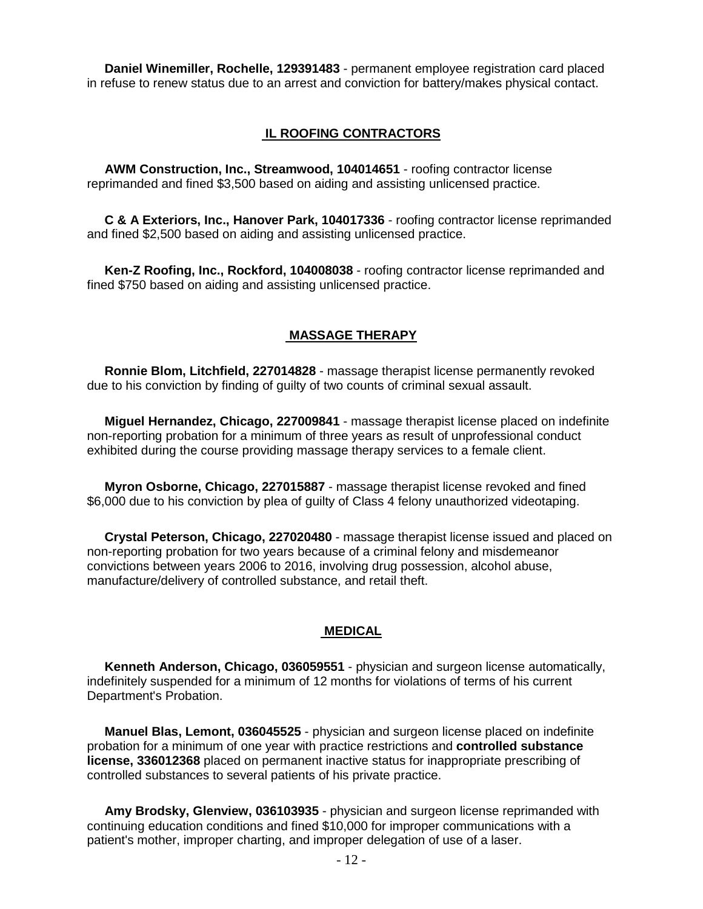**Daniel Winemiller, Rochelle, 129391483** - permanent employee registration card placed in refuse to renew status due to an arrest and conviction for battery/makes physical contact.

#### **IL ROOFING CONTRACTORS**

 **AWM Construction, Inc., Streamwood, 104014651** - roofing contractor license reprimanded and fined \$3,500 based on aiding and assisting unlicensed practice.

 **C & A Exteriors, Inc., Hanover Park, 104017336** - roofing contractor license reprimanded and fined \$2,500 based on aiding and assisting unlicensed practice.

 **Ken-Z Roofing, Inc., Rockford, 104008038** - roofing contractor license reprimanded and fined \$750 based on aiding and assisting unlicensed practice.

#### **MASSAGE THERAPY**

 **Ronnie Blom, Litchfield, 227014828** - massage therapist license permanently revoked due to his conviction by finding of guilty of two counts of criminal sexual assault.

 **Miguel Hernandez, Chicago, 227009841** - massage therapist license placed on indefinite non-reporting probation for a minimum of three years as result of unprofessional conduct exhibited during the course providing massage therapy services to a female client.

 **Myron Osborne, Chicago, 227015887** - massage therapist license revoked and fined \$6,000 due to his conviction by plea of guilty of Class 4 felony unauthorized videotaping.

 **Crystal Peterson, Chicago, 227020480** - massage therapist license issued and placed on non-reporting probation for two years because of a criminal felony and misdemeanor convictions between years 2006 to 2016, involving drug possession, alcohol abuse, manufacture/delivery of controlled substance, and retail theft.

#### **MEDICAL**

 **Kenneth Anderson, Chicago, 036059551** - physician and surgeon license automatically, indefinitely suspended for a minimum of 12 months for violations of terms of his current Department's Probation.

 **Manuel Blas, Lemont, 036045525** - physician and surgeon license placed on indefinite probation for a minimum of one year with practice restrictions and **controlled substance license, 336012368** placed on permanent inactive status for inappropriate prescribing of controlled substances to several patients of his private practice.

 **Amy Brodsky, Glenview, 036103935** - physician and surgeon license reprimanded with continuing education conditions and fined \$10,000 for improper communications with a patient's mother, improper charting, and improper delegation of use of a laser.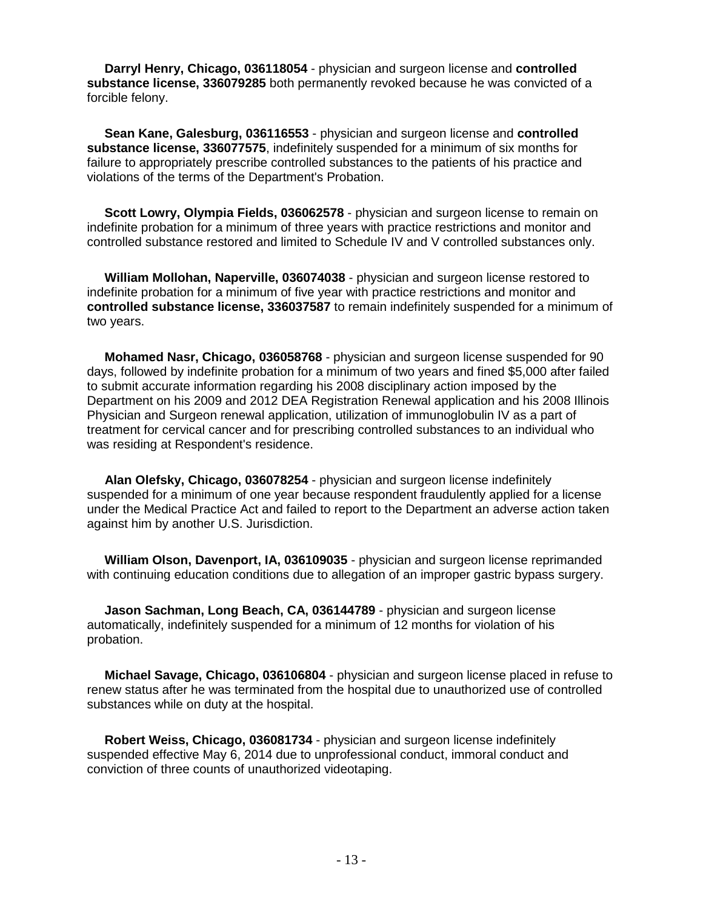**Darryl Henry, Chicago, 036118054** - physician and surgeon license and **controlled substance license, 336079285** both permanently revoked because he was convicted of a forcible felony.

 **Sean Kane, Galesburg, 036116553** - physician and surgeon license and **controlled substance license, 336077575**, indefinitely suspended for a minimum of six months for failure to appropriately prescribe controlled substances to the patients of his practice and violations of the terms of the Department's Probation.

 **Scott Lowry, Olympia Fields, 036062578** - physician and surgeon license to remain on indefinite probation for a minimum of three years with practice restrictions and monitor and controlled substance restored and limited to Schedule IV and V controlled substances only.

 **William Mollohan, Naperville, 036074038** - physician and surgeon license restored to indefinite probation for a minimum of five year with practice restrictions and monitor and **controlled substance license, 336037587** to remain indefinitely suspended for a minimum of two years.

 **Mohamed Nasr, Chicago, 036058768** - physician and surgeon license suspended for 90 days, followed by indefinite probation for a minimum of two years and fined \$5,000 after failed to submit accurate information regarding his 2008 disciplinary action imposed by the Department on his 2009 and 2012 DEA Registration Renewal application and his 2008 Illinois Physician and Surgeon renewal application, utilization of immunoglobulin IV as a part of treatment for cervical cancer and for prescribing controlled substances to an individual who was residing at Respondent's residence.

 **Alan Olefsky, Chicago, 036078254** - physician and surgeon license indefinitely suspended for a minimum of one year because respondent fraudulently applied for a license under the Medical Practice Act and failed to report to the Department an adverse action taken against him by another U.S. Jurisdiction.

 **William Olson, Davenport, IA, 036109035** - physician and surgeon license reprimanded with continuing education conditions due to allegation of an improper gastric bypass surgery.

 **Jason Sachman, Long Beach, CA, 036144789** - physician and surgeon license automatically, indefinitely suspended for a minimum of 12 months for violation of his probation.

 **Michael Savage, Chicago, 036106804** - physician and surgeon license placed in refuse to renew status after he was terminated from the hospital due to unauthorized use of controlled substances while on duty at the hospital.

 **Robert Weiss, Chicago, 036081734** - physician and surgeon license indefinitely suspended effective May 6, 2014 due to unprofessional conduct, immoral conduct and conviction of three counts of unauthorized videotaping.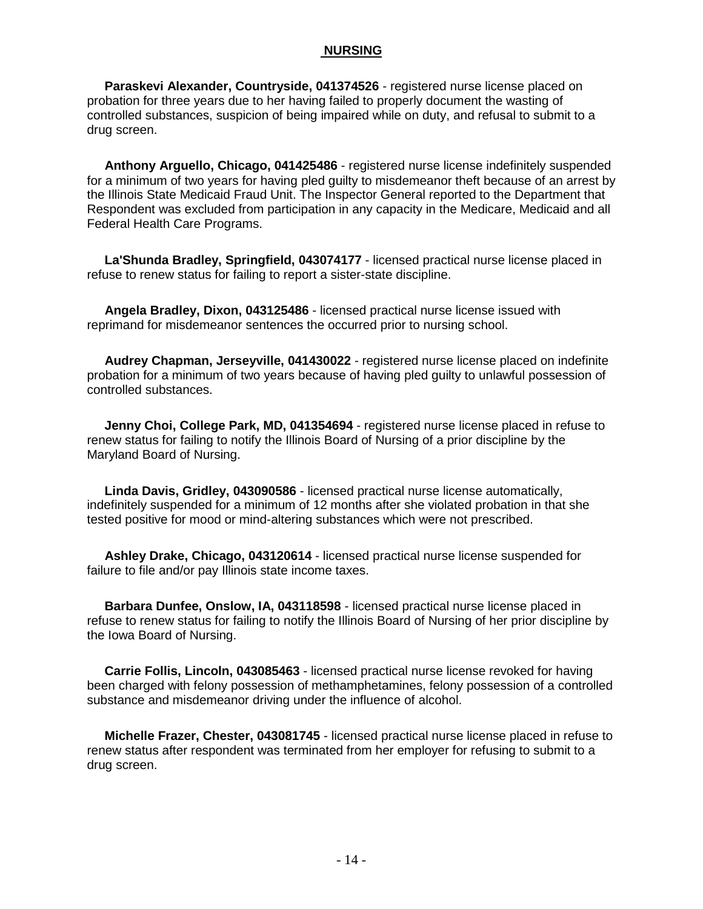#### **NURSING**

 **Paraskevi Alexander, Countryside, 041374526** - registered nurse license placed on probation for three years due to her having failed to properly document the wasting of controlled substances, suspicion of being impaired while on duty, and refusal to submit to a drug screen.

 **Anthony Arguello, Chicago, 041425486** - registered nurse license indefinitely suspended for a minimum of two years for having pled guilty to misdemeanor theft because of an arrest by the Illinois State Medicaid Fraud Unit. The Inspector General reported to the Department that Respondent was excluded from participation in any capacity in the Medicare, Medicaid and all Federal Health Care Programs.

 **La'Shunda Bradley, Springfield, 043074177** - licensed practical nurse license placed in refuse to renew status for failing to report a sister-state discipline.

 **Angela Bradley, Dixon, 043125486** - licensed practical nurse license issued with reprimand for misdemeanor sentences the occurred prior to nursing school.

 **Audrey Chapman, Jerseyville, 041430022** - registered nurse license placed on indefinite probation for a minimum of two years because of having pled guilty to unlawful possession of controlled substances.

 **Jenny Choi, College Park, MD, 041354694** - registered nurse license placed in refuse to renew status for failing to notify the Illinois Board of Nursing of a prior discipline by the Maryland Board of Nursing.

 **Linda Davis, Gridley, 043090586** - licensed practical nurse license automatically, indefinitely suspended for a minimum of 12 months after she violated probation in that she tested positive for mood or mind-altering substances which were not prescribed.

 **Ashley Drake, Chicago, 043120614** - licensed practical nurse license suspended for failure to file and/or pay Illinois state income taxes.

 **Barbara Dunfee, Onslow, IA, 043118598** - licensed practical nurse license placed in refuse to renew status for failing to notify the Illinois Board of Nursing of her prior discipline by the Iowa Board of Nursing.

 **Carrie Follis, Lincoln, 043085463** - licensed practical nurse license revoked for having been charged with felony possession of methamphetamines, felony possession of a controlled substance and misdemeanor driving under the influence of alcohol.

 **Michelle Frazer, Chester, 043081745** - licensed practical nurse license placed in refuse to renew status after respondent was terminated from her employer for refusing to submit to a drug screen.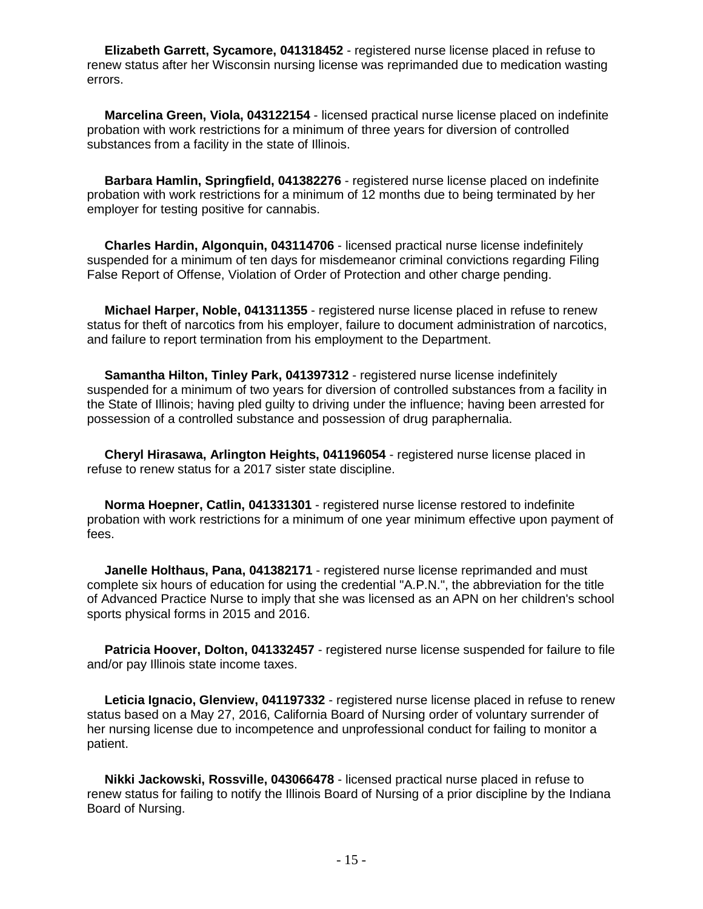**Elizabeth Garrett, Sycamore, 041318452** - registered nurse license placed in refuse to renew status after her Wisconsin nursing license was reprimanded due to medication wasting errors.

 **Marcelina Green, Viola, 043122154** - licensed practical nurse license placed on indefinite probation with work restrictions for a minimum of three years for diversion of controlled substances from a facility in the state of Illinois.

 **Barbara Hamlin, Springfield, 041382276** - registered nurse license placed on indefinite probation with work restrictions for a minimum of 12 months due to being terminated by her employer for testing positive for cannabis.

 **Charles Hardin, Algonquin, 043114706** - licensed practical nurse license indefinitely suspended for a minimum of ten days for misdemeanor criminal convictions regarding Filing False Report of Offense, Violation of Order of Protection and other charge pending.

 **Michael Harper, Noble, 041311355** - registered nurse license placed in refuse to renew status for theft of narcotics from his employer, failure to document administration of narcotics, and failure to report termination from his employment to the Department.

**Samantha Hilton, Tinley Park, 041397312** - registered nurse license indefinitely suspended for a minimum of two years for diversion of controlled substances from a facility in the State of Illinois; having pled guilty to driving under the influence; having been arrested for possession of a controlled substance and possession of drug paraphernalia.

 **Cheryl Hirasawa, Arlington Heights, 041196054** - registered nurse license placed in refuse to renew status for a 2017 sister state discipline.

 **Norma Hoepner, Catlin, 041331301** - registered nurse license restored to indefinite probation with work restrictions for a minimum of one year minimum effective upon payment of fees.

 **Janelle Holthaus, Pana, 041382171** - registered nurse license reprimanded and must complete six hours of education for using the credential "A.P.N.", the abbreviation for the title of Advanced Practice Nurse to imply that she was licensed as an APN on her children's school sports physical forms in 2015 and 2016.

 **Patricia Hoover, Dolton, 041332457** - registered nurse license suspended for failure to file and/or pay Illinois state income taxes.

 **Leticia Ignacio, Glenview, 041197332** - registered nurse license placed in refuse to renew status based on a May 27, 2016, California Board of Nursing order of voluntary surrender of her nursing license due to incompetence and unprofessional conduct for failing to monitor a patient.

 **Nikki Jackowski, Rossville, 043066478** - licensed practical nurse placed in refuse to renew status for failing to notify the Illinois Board of Nursing of a prior discipline by the Indiana Board of Nursing.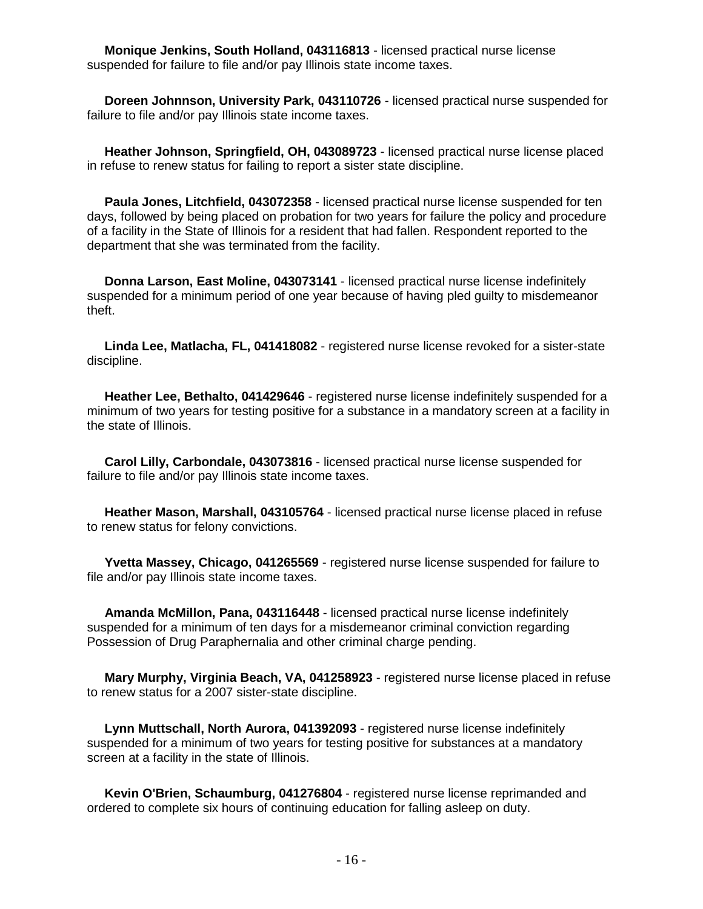**Monique Jenkins, South Holland, 043116813** - licensed practical nurse license suspended for failure to file and/or pay Illinois state income taxes.

 **Doreen Johnnson, University Park, 043110726** - licensed practical nurse suspended for failure to file and/or pay Illinois state income taxes.

 **Heather Johnson, Springfield, OH, 043089723** - licensed practical nurse license placed in refuse to renew status for failing to report a sister state discipline.

 **Paula Jones, Litchfield, 043072358** - licensed practical nurse license suspended for ten days, followed by being placed on probation for two years for failure the policy and procedure of a facility in the State of Illinois for a resident that had fallen. Respondent reported to the department that she was terminated from the facility.

 **Donna Larson, East Moline, 043073141** - licensed practical nurse license indefinitely suspended for a minimum period of one year because of having pled guilty to misdemeanor theft.

 **Linda Lee, Matlacha, FL, 041418082** - registered nurse license revoked for a sister-state discipline.

 **Heather Lee, Bethalto, 041429646** - registered nurse license indefinitely suspended for a minimum of two years for testing positive for a substance in a mandatory screen at a facility in the state of Illinois.

 **Carol Lilly, Carbondale, 043073816** - licensed practical nurse license suspended for failure to file and/or pay Illinois state income taxes.

 **Heather Mason, Marshall, 043105764** - licensed practical nurse license placed in refuse to renew status for felony convictions.

 **Yvetta Massey, Chicago, 041265569** - registered nurse license suspended for failure to file and/or pay Illinois state income taxes.

 **Amanda McMillon, Pana, 043116448** - licensed practical nurse license indefinitely suspended for a minimum of ten days for a misdemeanor criminal conviction regarding Possession of Drug Paraphernalia and other criminal charge pending.

 **Mary Murphy, Virginia Beach, VA, 041258923** - registered nurse license placed in refuse to renew status for a 2007 sister-state discipline.

 **Lynn Muttschall, North Aurora, 041392093** - registered nurse license indefinitely suspended for a minimum of two years for testing positive for substances at a mandatory screen at a facility in the state of Illinois.

 **Kevin O'Brien, Schaumburg, 041276804** - registered nurse license reprimanded and ordered to complete six hours of continuing education for falling asleep on duty.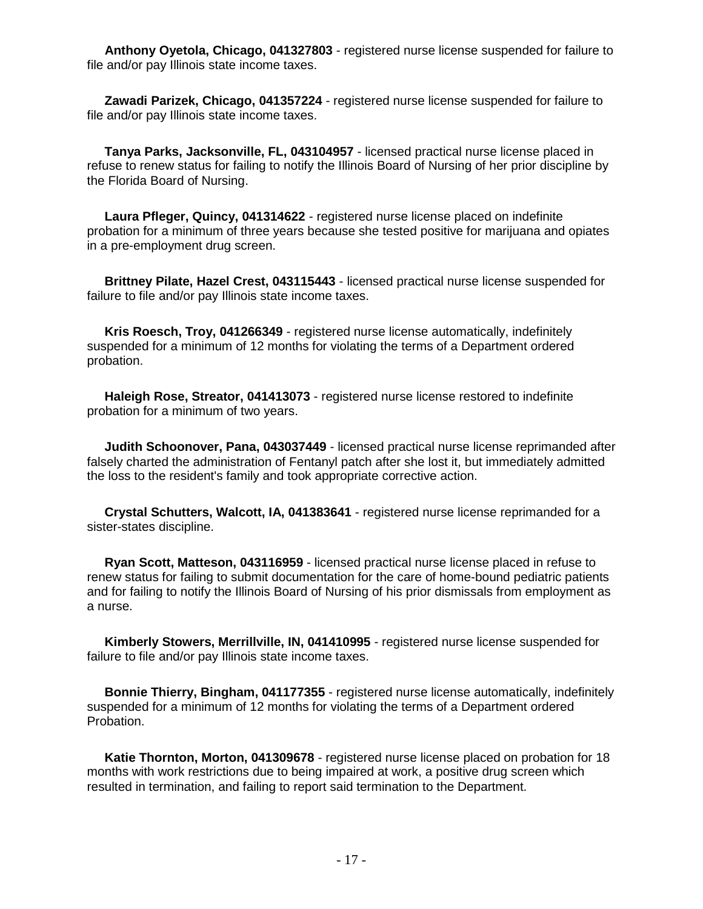**Anthony Oyetola, Chicago, 041327803** - registered nurse license suspended for failure to file and/or pay Illinois state income taxes.

 **Zawadi Parizek, Chicago, 041357224** - registered nurse license suspended for failure to file and/or pay Illinois state income taxes.

 **Tanya Parks, Jacksonville, FL, 043104957** - licensed practical nurse license placed in refuse to renew status for failing to notify the Illinois Board of Nursing of her prior discipline by the Florida Board of Nursing.

 **Laura Pfleger, Quincy, 041314622** - registered nurse license placed on indefinite probation for a minimum of three years because she tested positive for marijuana and opiates in a pre-employment drug screen.

 **Brittney Pilate, Hazel Crest, 043115443** - licensed practical nurse license suspended for failure to file and/or pay Illinois state income taxes.

 **Kris Roesch, Troy, 041266349** - registered nurse license automatically, indefinitely suspended for a minimum of 12 months for violating the terms of a Department ordered probation.

 **Haleigh Rose, Streator, 041413073** - registered nurse license restored to indefinite probation for a minimum of two years.

 **Judith Schoonover, Pana, 043037449** - licensed practical nurse license reprimanded after falsely charted the administration of Fentanyl patch after she lost it, but immediately admitted the loss to the resident's family and took appropriate corrective action.

 **Crystal Schutters, Walcott, IA, 041383641** - registered nurse license reprimanded for a sister-states discipline.

 **Ryan Scott, Matteson, 043116959** - licensed practical nurse license placed in refuse to renew status for failing to submit documentation for the care of home-bound pediatric patients and for failing to notify the Illinois Board of Nursing of his prior dismissals from employment as a nurse.

 **Kimberly Stowers, Merrillville, IN, 041410995** - registered nurse license suspended for failure to file and/or pay Illinois state income taxes.

 **Bonnie Thierry, Bingham, 041177355** - registered nurse license automatically, indefinitely suspended for a minimum of 12 months for violating the terms of a Department ordered Probation.

 **Katie Thornton, Morton, 041309678** - registered nurse license placed on probation for 18 months with work restrictions due to being impaired at work, a positive drug screen which resulted in termination, and failing to report said termination to the Department.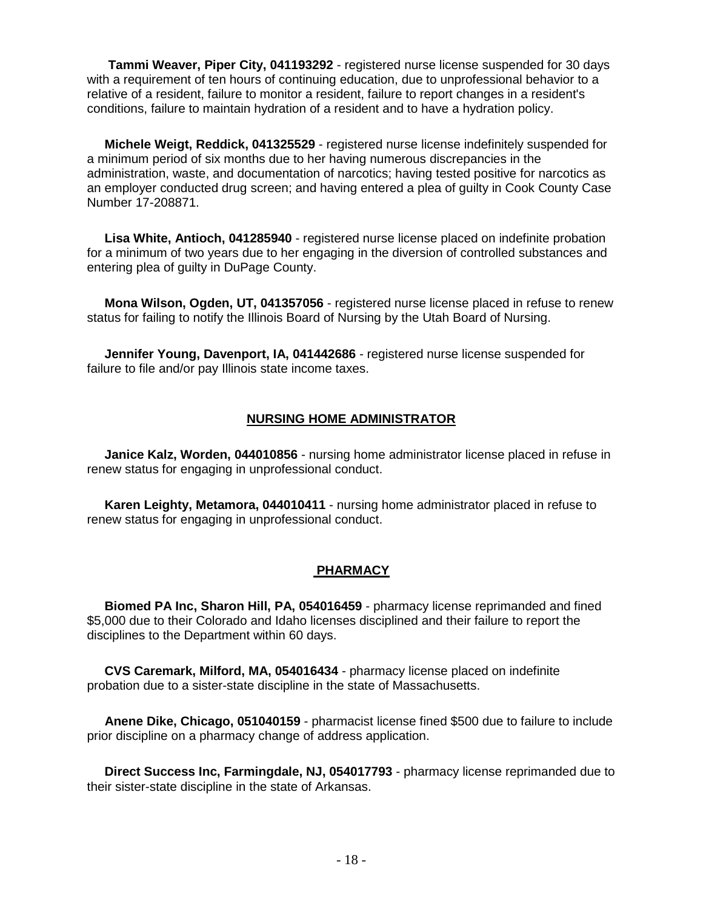**Tammi Weaver, Piper City, 041193292** - registered nurse license suspended for 30 days with a requirement of ten hours of continuing education, due to unprofessional behavior to a relative of a resident, failure to monitor a resident, failure to report changes in a resident's conditions, failure to maintain hydration of a resident and to have a hydration policy.

 **Michele Weigt, Reddick, 041325529** - registered nurse license indefinitely suspended for a minimum period of six months due to her having numerous discrepancies in the administration, waste, and documentation of narcotics; having tested positive for narcotics as an employer conducted drug screen; and having entered a plea of guilty in Cook County Case Number 17-208871.

 **Lisa White, Antioch, 041285940** - registered nurse license placed on indefinite probation for a minimum of two years due to her engaging in the diversion of controlled substances and entering plea of guilty in DuPage County.

 **Mona Wilson, Ogden, UT, 041357056** - registered nurse license placed in refuse to renew status for failing to notify the Illinois Board of Nursing by the Utah Board of Nursing.

 **Jennifer Young, Davenport, IA, 041442686** - registered nurse license suspended for failure to file and/or pay Illinois state income taxes.

#### **NURSING HOME ADMINISTRATOR**

 **Janice Kalz, Worden, 044010856** - nursing home administrator license placed in refuse in renew status for engaging in unprofessional conduct.

 **Karen Leighty, Metamora, 044010411** - nursing home administrator placed in refuse to renew status for engaging in unprofessional conduct.

#### **PHARMACY**

 **Biomed PA Inc, Sharon Hill, PA, 054016459** - pharmacy license reprimanded and fined \$5,000 due to their Colorado and Idaho licenses disciplined and their failure to report the disciplines to the Department within 60 days.

 **CVS Caremark, Milford, MA, 054016434** - pharmacy license placed on indefinite probation due to a sister-state discipline in the state of Massachusetts.

 **Anene Dike, Chicago, 051040159** - pharmacist license fined \$500 due to failure to include prior discipline on a pharmacy change of address application.

 **Direct Success Inc, Farmingdale, NJ, 054017793** - pharmacy license reprimanded due to their sister-state discipline in the state of Arkansas.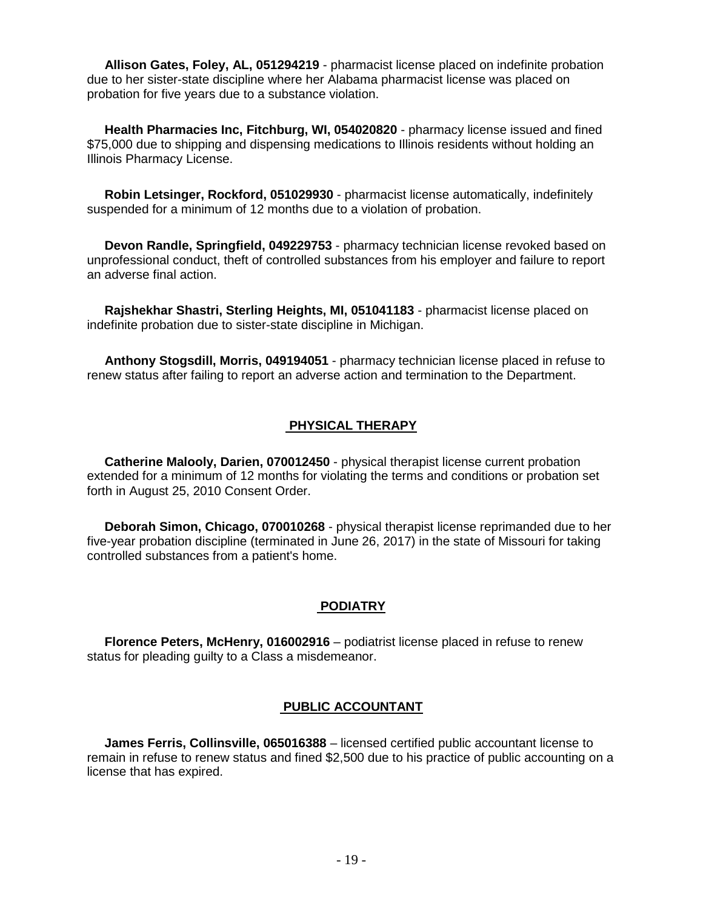**Allison Gates, Foley, AL, 051294219** - pharmacist license placed on indefinite probation due to her sister-state discipline where her Alabama pharmacist license was placed on probation for five years due to a substance violation.

 **Health Pharmacies Inc, Fitchburg, WI, 054020820** - pharmacy license issued and fined \$75,000 due to shipping and dispensing medications to Illinois residents without holding an Illinois Pharmacy License.

 **Robin Letsinger, Rockford, 051029930** - pharmacist license automatically, indefinitely suspended for a minimum of 12 months due to a violation of probation.

 **Devon Randle, Springfield, 049229753** - pharmacy technician license revoked based on unprofessional conduct, theft of controlled substances from his employer and failure to report an adverse final action.

 **Rajshekhar Shastri, Sterling Heights, MI, 051041183** - pharmacist license placed on indefinite probation due to sister-state discipline in Michigan.

 **Anthony Stogsdill, Morris, 049194051** - pharmacy technician license placed in refuse to renew status after failing to report an adverse action and termination to the Department.

#### **PHYSICAL THERAPY**

 **Catherine Malooly, Darien, 070012450** - physical therapist license current probation extended for a minimum of 12 months for violating the terms and conditions or probation set forth in August 25, 2010 Consent Order.

 **Deborah Simon, Chicago, 070010268** - physical therapist license reprimanded due to her five-year probation discipline (terminated in June 26, 2017) in the state of Missouri for taking controlled substances from a patient's home.

#### **PODIATRY**

 **Florence Peters, McHenry, 016002916** – podiatrist license placed in refuse to renew status for pleading guilty to a Class a misdemeanor.

#### **PUBLIC ACCOUNTANT**

 **James Ferris, Collinsville, 065016388** – licensed certified public accountant license to remain in refuse to renew status and fined \$2,500 due to his practice of public accounting on a license that has expired.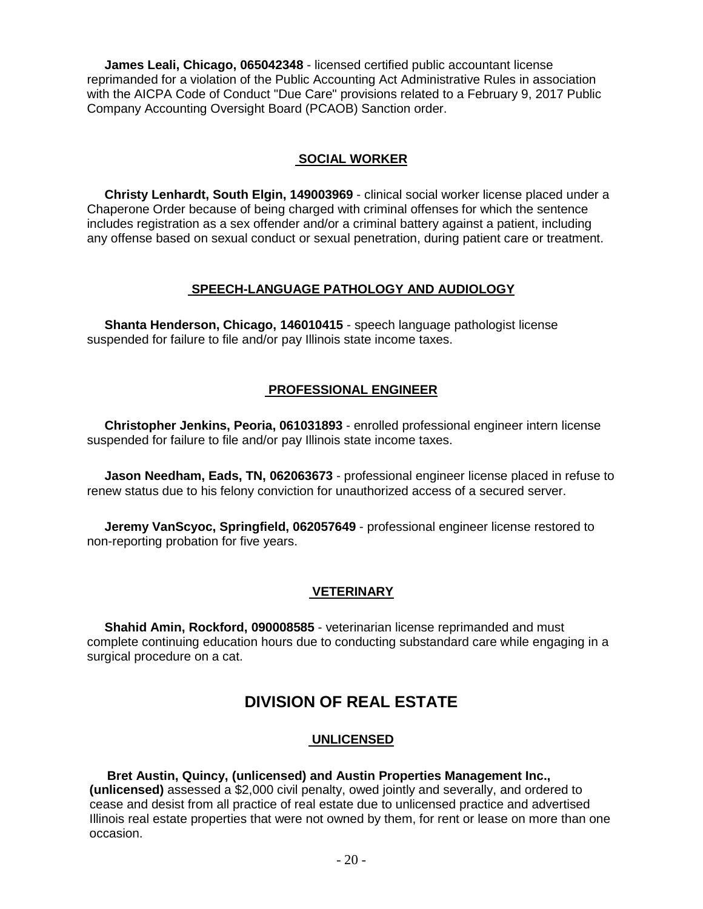**James Leali, Chicago, 065042348** - licensed certified public accountant license reprimanded for a violation of the Public Accounting Act Administrative Rules in association with the AICPA Code of Conduct "Due Care" provisions related to a February 9, 2017 Public Company Accounting Oversight Board (PCAOB) Sanction order.

#### **SOCIAL WORKER**

 **Christy Lenhardt, South Elgin, 149003969** - clinical social worker license placed under a Chaperone Order because of being charged with criminal offenses for which the sentence includes registration as a sex offender and/or a criminal battery against a patient, including any offense based on sexual conduct or sexual penetration, during patient care or treatment.

#### **SPEECH-LANGUAGE PATHOLOGY AND AUDIOLOGY**

 **Shanta Henderson, Chicago, 146010415** - speech language pathologist license suspended for failure to file and/or pay Illinois state income taxes.

### **PROFESSIONAL ENGINEER**

 **Christopher Jenkins, Peoria, 061031893** - enrolled professional engineer intern license suspended for failure to file and/or pay Illinois state income taxes.

 **Jason Needham, Eads, TN, 062063673** - professional engineer license placed in refuse to renew status due to his felony conviction for unauthorized access of a secured server.

 **Jeremy VanScyoc, Springfield, 062057649** - professional engineer license restored to non-reporting probation for five years.

### **VETERINARY**

 **Shahid Amin, Rockford, 090008585** - veterinarian license reprimanded and must complete continuing education hours due to conducting substandard care while engaging in a surgical procedure on a cat.

# **DIVISION OF REAL ESTATE**

#### **UNLICENSED**

#### **Bret Austin, Quincy, (unlicensed) and Austin Properties Management Inc.,**

**(unlicensed)** assessed a \$2,000 civil penalty, owed jointly and severally, and ordered to cease and desist from all practice of real estate due to unlicensed practice and advertised Illinois real estate properties that were not owned by them, for rent or lease on more than one occasion.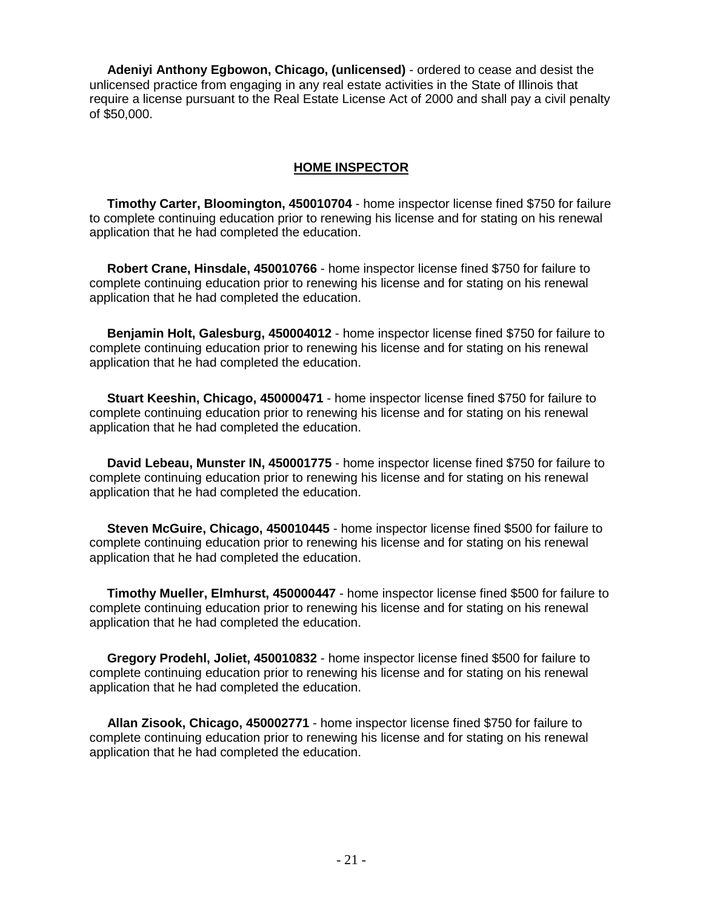**Adeniyi Anthony Egbowon, Chicago, (unlicensed)** - ordered to cease and desist the unlicensed practice from engaging in any real estate activities in the State of Illinois that require a license pursuant to the Real Estate License Act of 2000 and shall pay a civil penalty of \$50,000.

#### **HOME INSPECTOR**

 **Timothy Carter, Bloomington, 450010704** - home inspector license fined \$750 for failure to complete continuing education prior to renewing his license and for stating on his renewal application that he had completed the education.

 **Robert Crane, Hinsdale, 450010766** - home inspector license fined \$750 for failure to complete continuing education prior to renewing his license and for stating on his renewal application that he had completed the education.

 **Benjamin Holt, Galesburg, 450004012** - home inspector license fined \$750 for failure to complete continuing education prior to renewing his license and for stating on his renewal application that he had completed the education.

 **Stuart Keeshin, Chicago, 450000471** - home inspector license fined \$750 for failure to complete continuing education prior to renewing his license and for stating on his renewal application that he had completed the education.

 **David Lebeau, Munster IN, 450001775** - home inspector license fined \$750 for failure to complete continuing education prior to renewing his license and for stating on his renewal application that he had completed the education.

 **Steven McGuire, Chicago, 450010445** - home inspector license fined \$500 for failure to complete continuing education prior to renewing his license and for stating on his renewal application that he had completed the education.

 **Timothy Mueller, Elmhurst, 450000447** - home inspector license fined \$500 for failure to complete continuing education prior to renewing his license and for stating on his renewal application that he had completed the education.

 **Gregory Prodehl, Joliet, 450010832** - home inspector license fined \$500 for failure to complete continuing education prior to renewing his license and for stating on his renewal application that he had completed the education.

 **Allan Zisook, Chicago, 450002771** - home inspector license fined \$750 for failure to complete continuing education prior to renewing his license and for stating on his renewal application that he had completed the education.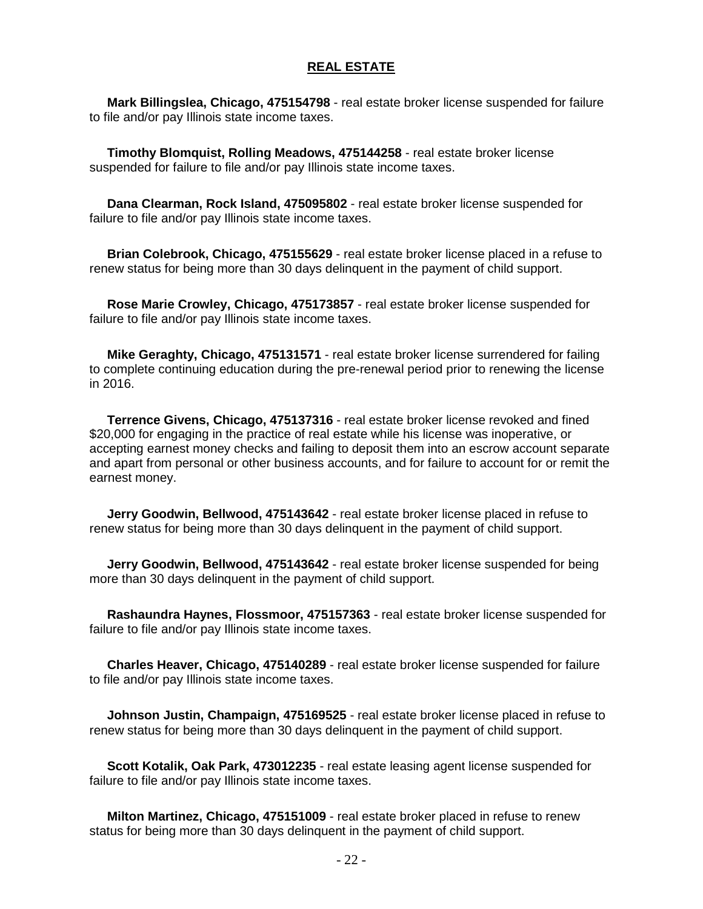#### **REAL ESTATE**

 **Mark Billingslea, Chicago, 475154798** - real estate broker license suspended for failure to file and/or pay Illinois state income taxes.

 **Timothy Blomquist, Rolling Meadows, 475144258** - real estate broker license suspended for failure to file and/or pay Illinois state income taxes.

 **Dana Clearman, Rock Island, 475095802** - real estate broker license suspended for failure to file and/or pay Illinois state income taxes.

 **Brian Colebrook, Chicago, 475155629** - real estate broker license placed in a refuse to renew status for being more than 30 days delinquent in the payment of child support.

 **Rose Marie Crowley, Chicago, 475173857** - real estate broker license suspended for failure to file and/or pay Illinois state income taxes.

 **Mike Geraghty, Chicago, 475131571** - real estate broker license surrendered for failing to complete continuing education during the pre-renewal period prior to renewing the license in 2016.

 **Terrence Givens, Chicago, 475137316** - real estate broker license revoked and fined \$20,000 for engaging in the practice of real estate while his license was inoperative, or accepting earnest money checks and failing to deposit them into an escrow account separate and apart from personal or other business accounts, and for failure to account for or remit the earnest money.

 **Jerry Goodwin, Bellwood, 475143642** - real estate broker license placed in refuse to renew status for being more than 30 days delinquent in the payment of child support.

 **Jerry Goodwin, Bellwood, 475143642** - real estate broker license suspended for being more than 30 days delinquent in the payment of child support.

 **Rashaundra Haynes, Flossmoor, 475157363** - real estate broker license suspended for failure to file and/or pay Illinois state income taxes.

 **Charles Heaver, Chicago, 475140289** - real estate broker license suspended for failure to file and/or pay Illinois state income taxes.

 **Johnson Justin, Champaign, 475169525** - real estate broker license placed in refuse to renew status for being more than 30 days delinquent in the payment of child support.

 **Scott Kotalik, Oak Park, 473012235** - real estate leasing agent license suspended for failure to file and/or pay Illinois state income taxes.

 **Milton Martinez, Chicago, 475151009** - real estate broker placed in refuse to renew status for being more than 30 days delinquent in the payment of child support.